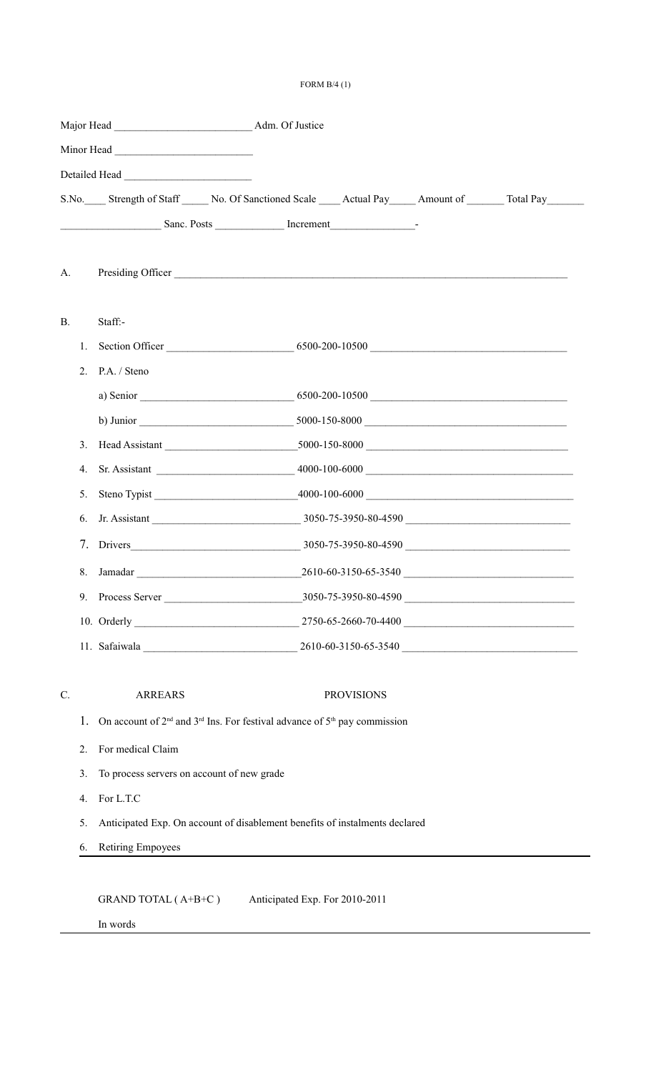## FORM B/4 (1)

|                 |                |                                                                                 | S.No. Strength of Staff No. Of Sanctioned Scale Actual Pay Amount of Total Pay |                   |  |  |  |  |  |
|-----------------|----------------|---------------------------------------------------------------------------------|--------------------------------------------------------------------------------|-------------------|--|--|--|--|--|
|                 |                |                                                                                 |                                                                                |                   |  |  |  |  |  |
|                 |                |                                                                                 |                                                                                |                   |  |  |  |  |  |
| A.              |                |                                                                                 |                                                                                |                   |  |  |  |  |  |
|                 |                |                                                                                 |                                                                                |                   |  |  |  |  |  |
| B.              |                | Staff:-                                                                         |                                                                                |                   |  |  |  |  |  |
|                 | 1.             |                                                                                 |                                                                                |                   |  |  |  |  |  |
|                 | 2 <sub>1</sub> | P.A. / Steno                                                                    |                                                                                |                   |  |  |  |  |  |
|                 |                |                                                                                 | a) Senior 6500-200-10500                                                       |                   |  |  |  |  |  |
|                 |                |                                                                                 |                                                                                |                   |  |  |  |  |  |
|                 |                |                                                                                 | 3. Head Assistant 5000-150-8000                                                |                   |  |  |  |  |  |
|                 | 4.             |                                                                                 |                                                                                |                   |  |  |  |  |  |
|                 | 5.             |                                                                                 |                                                                                |                   |  |  |  |  |  |
|                 | 6.             |                                                                                 |                                                                                |                   |  |  |  |  |  |
|                 |                |                                                                                 |                                                                                |                   |  |  |  |  |  |
|                 | 8.             |                                                                                 |                                                                                |                   |  |  |  |  |  |
|                 | 9.             |                                                                                 |                                                                                |                   |  |  |  |  |  |
|                 |                |                                                                                 |                                                                                |                   |  |  |  |  |  |
|                 |                |                                                                                 |                                                                                |                   |  |  |  |  |  |
|                 |                |                                                                                 |                                                                                |                   |  |  |  |  |  |
| $\mathcal{C}$ . |                | <b>ARREARS</b>                                                                  |                                                                                | <b>PROVISIONS</b> |  |  |  |  |  |
|                 | 1.             | On account of $2nd$ and $3rd$ Ins. For festival advance of $5th$ pay commission |                                                                                |                   |  |  |  |  |  |
|                 | 2.             | For medical Claim                                                               |                                                                                |                   |  |  |  |  |  |
|                 | 3 <sub>1</sub> | To process servers on account of new grade                                      |                                                                                |                   |  |  |  |  |  |
|                 | 4.             | For L.T.C                                                                       |                                                                                |                   |  |  |  |  |  |
|                 | 5.             | Anticipated Exp. On account of disablement benefits of instalments declared     |                                                                                |                   |  |  |  |  |  |
|                 | 6.             | <b>Retiring Empoyees</b>                                                        |                                                                                |                   |  |  |  |  |  |

In words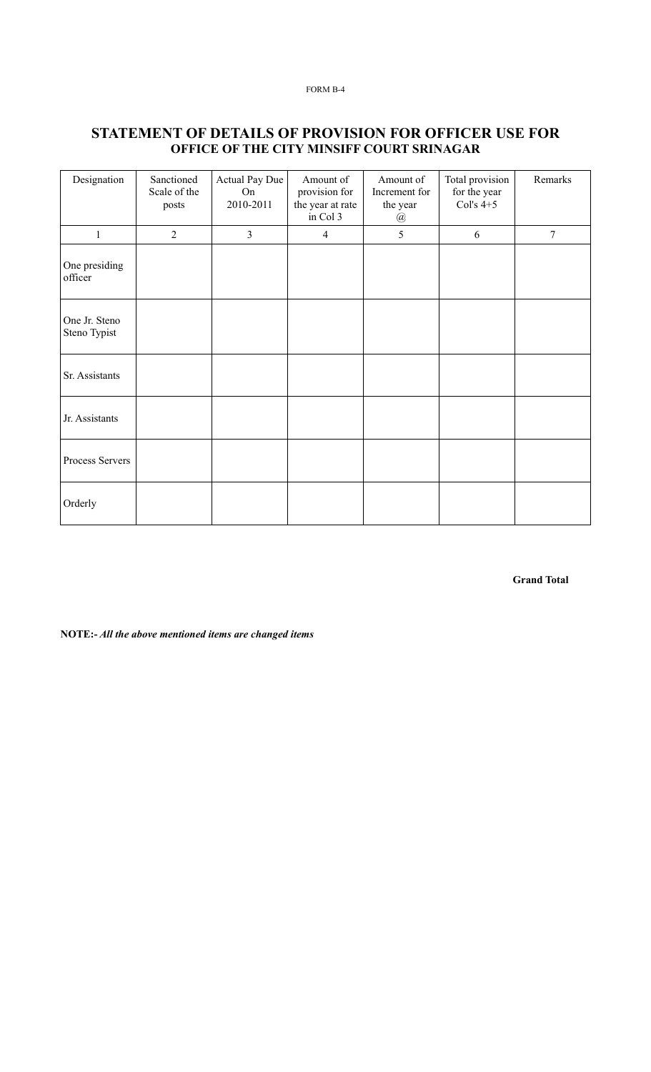## **STATEMENT OF DETAILS OF PROVISION FOR OFFICER USE FOR OFFICE OF THE CITY MINSIFF COURT SRINAGAR**

| Designation                   | Sanctioned<br>Scale of the<br>posts | Actual Pay Due<br>On<br>2010-2011 | Amount of<br>provision for<br>the year at rate<br>in Col 3 | Amount of<br>Increment for<br>the year<br>@ | Total provision<br>for the year<br>Col's $4+5$ | Remarks        |
|-------------------------------|-------------------------------------|-----------------------------------|------------------------------------------------------------|---------------------------------------------|------------------------------------------------|----------------|
| $\mathbf{1}$                  | $\overline{2}$                      | $\overline{3}$                    | 4                                                          | 5                                           | 6                                              | $\overline{7}$ |
| One presiding<br>officer      |                                     |                                   |                                                            |                                             |                                                |                |
| One Jr. Steno<br>Steno Typist |                                     |                                   |                                                            |                                             |                                                |                |
| Sr. Assistants                |                                     |                                   |                                                            |                                             |                                                |                |
| Jr. Assistants                |                                     |                                   |                                                            |                                             |                                                |                |
| Process Servers               |                                     |                                   |                                                            |                                             |                                                |                |
| Orderly                       |                                     |                                   |                                                            |                                             |                                                |                |

**Grand Total**

**NOTE:-** *All the above mentioned items are changed items*